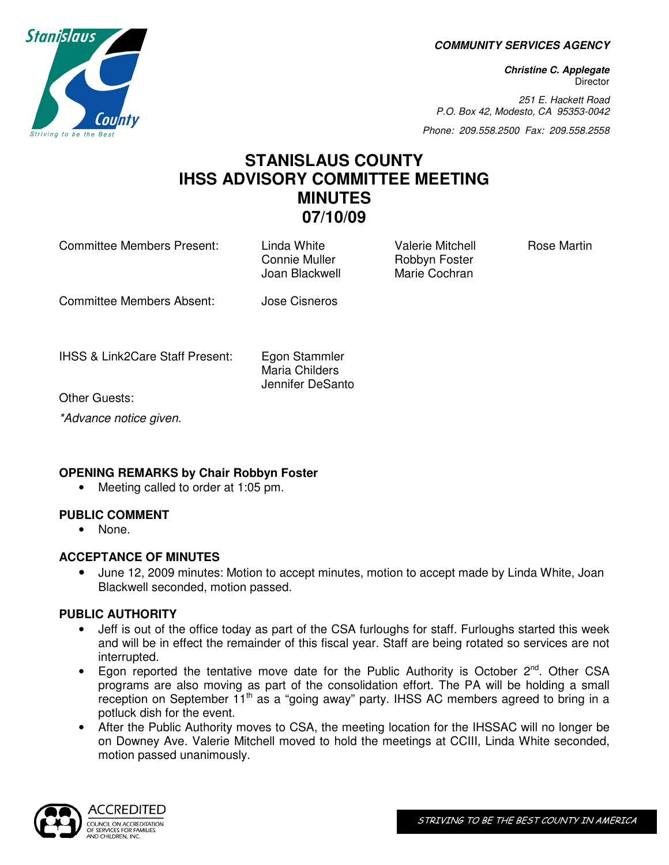**COMMUNITY SERVICES AGENCY** 

**Christine C. Applegate Director** 

251 E. Hackett Road P.O. Box 42, Modesto, CA 95353-0042

Phone: 209.558.2500 Fax: 209.558.2558

# **STANISLAUS COUNTY IHSS ADVISORY COMMITTEE MEETING MINUTES 07/10/09**

Committee Members Present: Linda White Valerie Mitchell Rose Martin

Connie Muller **Robbyn Foster** Joan Blackwell Marie Cochran

Committee Members Absent: Jose Cisneros

IHSS & Link2Care Staff Present: Egon Stammler

Maria Childers Jennifer DeSanto

Other Guests:

\*Advance notice given.

# **OPENING REMARKS by Chair Robbyn Foster**

• Meeting called to order at 1:05 pm.

# **PUBLIC COMMENT**

• None.

# **ACCEPTANCE OF MINUTES**

• June 12, 2009 minutes: Motion to accept minutes, motion to accept made by Linda White, Joan Blackwell seconded, motion passed.

# **PUBLIC AUTHORITY**

- Jeff is out of the office today as part of the CSA furloughs for staff. Furloughs started this week and will be in effect the remainder of this fiscal year. Staff are being rotated so services are not interrupted.
- Egon reported the tentative move date for the Public Authority is October  $2^{nd}$ . Other CSA programs are also moving as part of the consolidation effort. The PA will be holding a small reception on September  $11<sup>th</sup>$  as a "going away" party. IHSS AC members agreed to bring in a potluck dish for the event.
- After the Public Authority moves to CSA, the meeting location for the IHSSAC will no longer be on Downey Ave. Valerie Mitchell moved to hold the meetings at CCIII, Linda White seconded, motion passed unanimously.